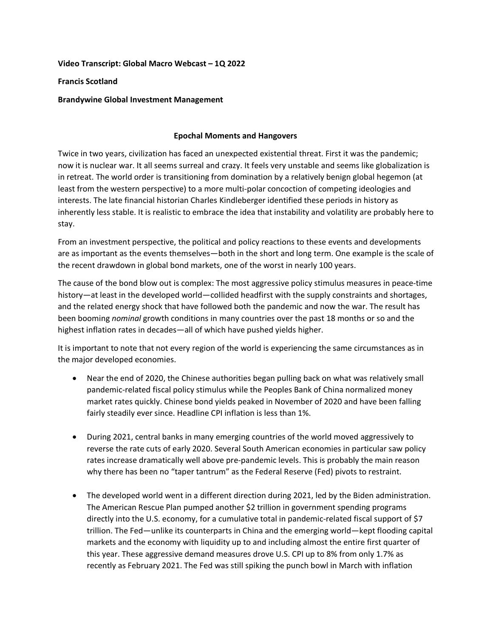## **Video Transcript: Global Macro Webcast – 1Q 2022**

## **Francis Scotland**

## **Brandywine Global Investment Management**

## **Epochal Moments and Hangovers**

Twice in two years, civilization has faced an unexpected existential threat. First it was the pandemic; now it is nuclear war. It all seems surreal and crazy. It feels very unstable and seems like globalization is in retreat. The world order is transitioning from domination by a relatively benign global hegemon (at least from the western perspective) to a more multi-polar concoction of competing ideologies and interests. The late financial historian Charles Kindleberger identified these periods in history as inherently less stable. It is realistic to embrace the idea that instability and volatility are probably here to stay.

From an investment perspective, the political and policy reactions to these events and developments are as important as the events themselves—both in the short and long term. One example is the scale of the recent drawdown in global bond markets, one of the worst in nearly 100 years.

The cause of the bond blow out is complex: The most aggressive policy stimulus measures in peace-time history—at least in the developed world—collided headfirst with the supply constraints and shortages, and the related energy shock that have followed both the pandemic and now the war. The result has been booming *nominal* growth conditions in many countries over the past 18 months or so and the highest inflation rates in decades—all of which have pushed yields higher.

It is important to note that not every region of the world is experiencing the same circumstances as in the major developed economies.

- Near the end of 2020, the Chinese authorities began pulling back on what was relatively small pandemic-related fiscal policy stimulus while the Peoples Bank of China normalized money market rates quickly. Chinese bond yields peaked in November of 2020 and have been falling fairly steadily ever since. Headline CPI inflation is less than 1%.
- During 2021, central banks in many emerging countries of the world moved aggressively to reverse the rate cuts of early 2020. Several South American economies in particular saw policy rates increase dramatically well above pre-pandemic levels. This is probably the main reason why there has been no "taper tantrum" as the Federal Reserve (Fed) pivots to restraint.
- The developed world went in a different direction during 2021, led by the Biden administration. The American Rescue Plan pumped another \$2 trillion in government spending programs directly into the U.S. economy, for a cumulative total in pandemic-related fiscal support of \$7 trillion. The Fed—unlike its counterparts in China and the emerging world—kept flooding capital markets and the economy with liquidity up to and including almost the entire first quarter of this year. These aggressive demand measures drove U.S. CPI up to 8% from only 1.7% as recently as February 2021. The Fed was still spiking the punch bowl in March with inflation